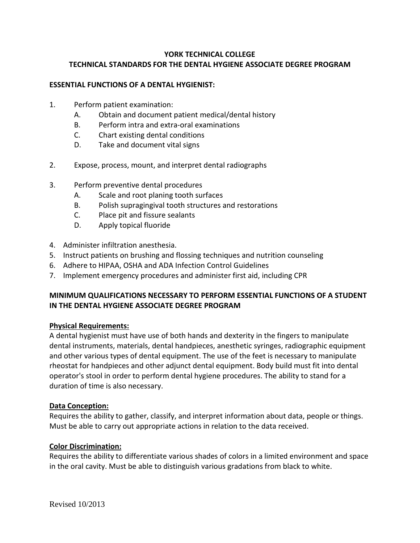# **YORK TECHNICAL COLLEGE TECHNICAL STANDARDS FOR THE DENTAL HYGIENE ASSOCIATE DEGREE PROGRAM**

### **ESSENTIAL FUNCTIONS OF A DENTAL HYGIENIST:**

- 1. Perform patient examination:
	- A. Obtain and document patient medical/dental history
	- B. Perform intra and extra-oral examinations
	- C. Chart existing dental conditions
	- D. Take and document vital signs
- 2. Expose, process, mount, and interpret dental radiographs
- 3. Perform preventive dental procedures
	- A. Scale and root planing tooth surfaces
	- B. Polish supragingival tooth structures and restorations
	- C. Place pit and fissure sealants
	- D. Apply topical fluoride
- 4. Administer infiltration anesthesia.
- 5. Instruct patients on brushing and flossing techniques and nutrition counseling
- 6. Adhere to HIPAA, OSHA and ADA Infection Control Guidelines
- 7. Implement emergency procedures and administer first aid, including CPR

## **MINIMUM QUALIFICATIONS NECESSARY TO PERFORM ESSENTIAL FUNCTIONS OF A STUDENT IN THE DENTAL HYGIENE ASSOCIATE DEGREE PROGRAM**

#### **Physical Requirements:**

A dental hygienist must have use of both hands and dexterity in the fingers to manipulate dental instruments, materials, dental handpieces, anesthetic syringes, radiographic equipment and other various types of dental equipment. The use of the feet is necessary to manipulate rheostat for handpieces and other adjunct dental equipment. Body build must fit into dental operator's stool in order to perform dental hygiene procedures. The ability to stand for a duration of time is also necessary.

#### **Data Conception:**

Requires the ability to gather, classify, and interpret information about data, people or things. Must be able to carry out appropriate actions in relation to the data received.

#### **Color Discrimination:**

Requires the ability to differentiate various shades of colors in a limited environment and space in the oral cavity. Must be able to distinguish various gradations from black to white.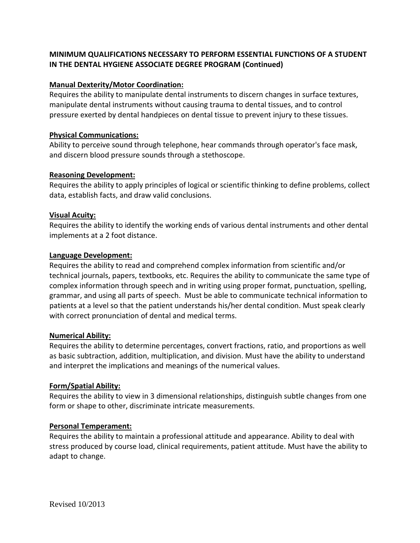# **MINIMUM QUALIFICATIONS NECESSARY TO PERFORM ESSENTIAL FUNCTIONS OF A STUDENT IN THE DENTAL HYGIENE ASSOCIATE DEGREE PROGRAM (Continued)**

## **Manual Dexterity/Motor Coordination:**

Requires the ability to manipulate dental instruments to discern changes in surface textures, manipulate dental instruments without causing trauma to dental tissues, and to control pressure exerted by dental handpieces on dental tissue to prevent injury to these tissues.

### **Physical Communications:**

Ability to perceive sound through telephone, hear commands through operator's face mask, and discern blood pressure sounds through a stethoscope.

## **Reasoning Development:**

Requires the ability to apply principles of logical or scientific thinking to define problems, collect data, establish facts, and draw valid conclusions.

## **Visual Acuity:**

Requires the ability to identify the working ends of various dental instruments and other dental implements at a 2 foot distance.

#### **Language Development:**

Requires the ability to read and comprehend complex information from scientific and/or technical journals, papers, textbooks, etc. Requires the ability to communicate the same type of complex information through speech and in writing using proper format, punctuation, spelling, grammar, and using all parts of speech. Must be able to communicate technical information to patients at a level so that the patient understands his/her dental condition. Must speak clearly with correct pronunciation of dental and medical terms.

#### **Numerical Ability:**

Requires the ability to determine percentages, convert fractions, ratio, and proportions as well as basic subtraction, addition, multiplication, and division. Must have the ability to understand and interpret the implications and meanings of the numerical values.

## **Form/Spatial Ability:**

Requires the ability to view in 3 dimensional relationships, distinguish subtle changes from one form or shape to other, discriminate intricate measurements.

#### **Personal Temperament:**

Requires the ability to maintain a professional attitude and appearance. Ability to deal with stress produced by course load, clinical requirements, patient attitude. Must have the ability to adapt to change.